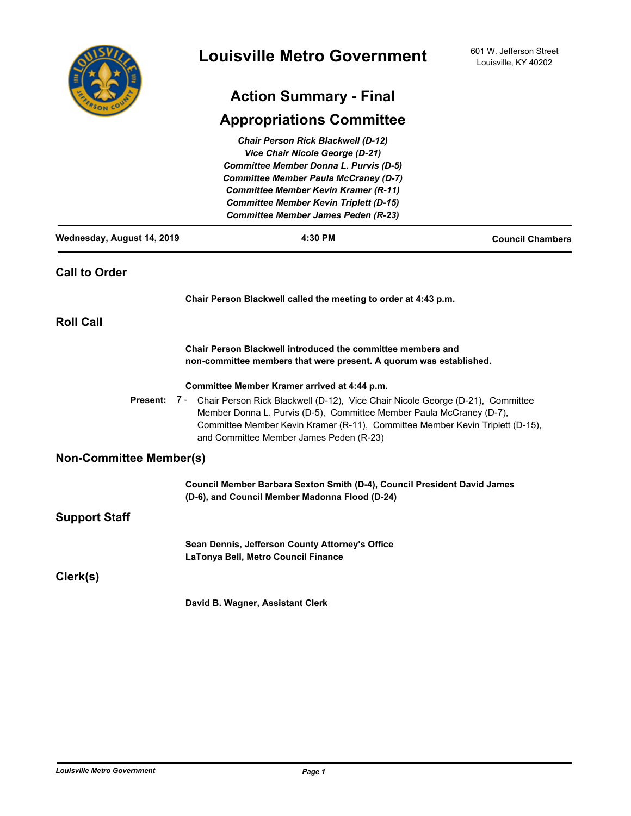| COUN<br>FRSOT |
|---------------|

# **Action Summary - Final**

# **Appropriations Committee**

|                                            | <b>Chair Person Rick Blackwell (D-12)</b><br>Vice Chair Nicole George (D-21)<br>Committee Member Donna L. Purvis (D-5)<br><b>Committee Member Paula McCraney (D-7)</b>                                                                                                                          |                         |  |
|--------------------------------------------|-------------------------------------------------------------------------------------------------------------------------------------------------------------------------------------------------------------------------------------------------------------------------------------------------|-------------------------|--|
|                                            | Committee Member Kevin Kramer (R-11)<br><b>Committee Member Kevin Triplett (D-15)</b>                                                                                                                                                                                                           |                         |  |
| <b>Committee Member James Peden (R-23)</b> |                                                                                                                                                                                                                                                                                                 |                         |  |
| Wednesday, August 14, 2019                 | 4:30 PM                                                                                                                                                                                                                                                                                         | <b>Council Chambers</b> |  |
| <b>Call to Order</b>                       |                                                                                                                                                                                                                                                                                                 |                         |  |
|                                            | Chair Person Blackwell called the meeting to order at 4:43 p.m.                                                                                                                                                                                                                                 |                         |  |
| <b>Roll Call</b>                           |                                                                                                                                                                                                                                                                                                 |                         |  |
|                                            | Chair Person Blackwell introduced the committee members and<br>non-committee members that were present. A quorum was established.                                                                                                                                                               |                         |  |
|                                            | Committee Member Kramer arrived at 4:44 p.m.                                                                                                                                                                                                                                                    |                         |  |
|                                            | Present: 7 - Chair Person Rick Blackwell (D-12), Vice Chair Nicole George (D-21), Committee<br>Member Donna L. Purvis (D-5), Committee Member Paula McCraney (D-7),<br>Committee Member Kevin Kramer (R-11), Committee Member Kevin Triplett (D-15),<br>and Committee Member James Peden (R-23) |                         |  |
| <b>Non-Committee Member(s)</b>             |                                                                                                                                                                                                                                                                                                 |                         |  |
|                                            | Council Member Barbara Sexton Smith (D-4), Council President David James<br>(D-6), and Council Member Madonna Flood (D-24)                                                                                                                                                                      |                         |  |
| <b>Support Staff</b>                       |                                                                                                                                                                                                                                                                                                 |                         |  |
|                                            | Sean Dennis, Jefferson County Attorney's Office<br>LaTonya Bell, Metro Council Finance                                                                                                                                                                                                          |                         |  |
| Clerk(s)                                   |                                                                                                                                                                                                                                                                                                 |                         |  |
|                                            | David B. Wagner, Assistant Clerk                                                                                                                                                                                                                                                                |                         |  |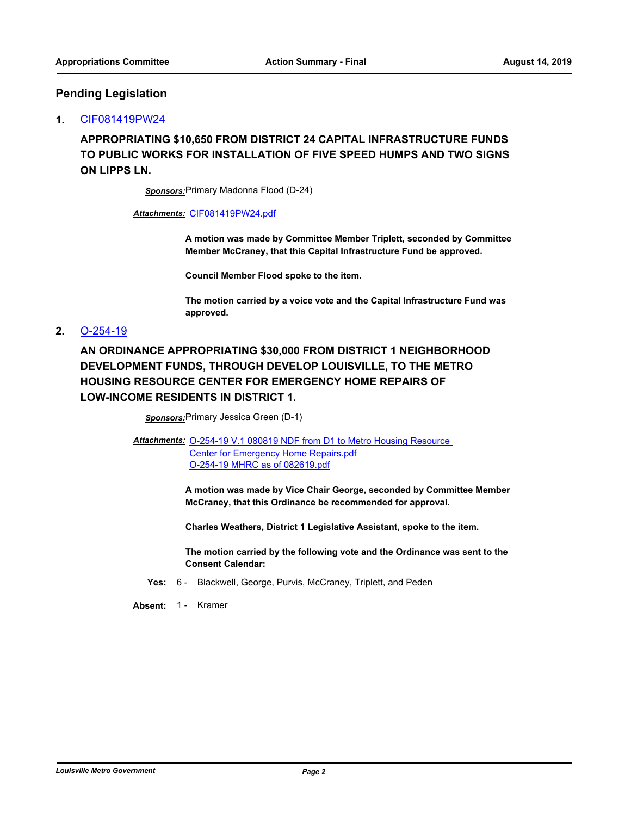### **Pending Legislation**

### **1.** [CIF081419PW24](http://louisville.legistar.com/gateway.aspx?m=l&id=/matter.aspx?key=50900)

**APPROPRIATING \$10,650 FROM DISTRICT 24 CAPITAL INFRASTRUCTURE FUNDS TO PUBLIC WORKS FOR INSTALLATION OF FIVE SPEED HUMPS AND TWO SIGNS ON LIPPS LN.**

*Sponsors:*Primary Madonna Flood (D-24)

*Attachments:* [CIF081419PW24.pdf](http://louisville.legistar.com/gateway.aspx?M=F&ID=74e1f57d-6047-4532-a6ad-93f2f8042d87.pdf)

**A motion was made by Committee Member Triplett, seconded by Committee Member McCraney, that this Capital Infrastructure Fund be approved.**

**Council Member Flood spoke to the item.**

**The motion carried by a voice vote and the Capital Infrastructure Fund was approved.**

### **2.** [O-254-19](http://louisville.legistar.com/gateway.aspx?m=l&id=/matter.aspx?key=50802)

**AN ORDINANCE APPROPRIATING \$30,000 FROM DISTRICT 1 NEIGHBORHOOD DEVELOPMENT FUNDS, THROUGH DEVELOP LOUISVILLE, TO THE METRO HOUSING RESOURCE CENTER FOR EMERGENCY HOME REPAIRS OF LOW-INCOME RESIDENTS IN DISTRICT 1.**

*Sponsors:*Primary Jessica Green (D-1)

Attachments: O-254-19 V.1 080819 NDF from D1 to Metro Housing Resource Center for Emergency Home Repairs.pdf [O-254-19 MHRC as of 082619.pdf](http://louisville.legistar.com/gateway.aspx?M=F&ID=9e97095e-7c55-432d-9ea2-8751c79cad0a.pdf)

> **A motion was made by Vice Chair George, seconded by Committee Member McCraney, that this Ordinance be recommended for approval.**

**Charles Weathers, District 1 Legislative Assistant, spoke to the item.**

**The motion carried by the following vote and the Ordinance was sent to the Consent Calendar:**

- **Yes:** 6 Blackwell, George, Purvis, McCraney, Triplett, and Peden
- **Absent:** 1 Kramer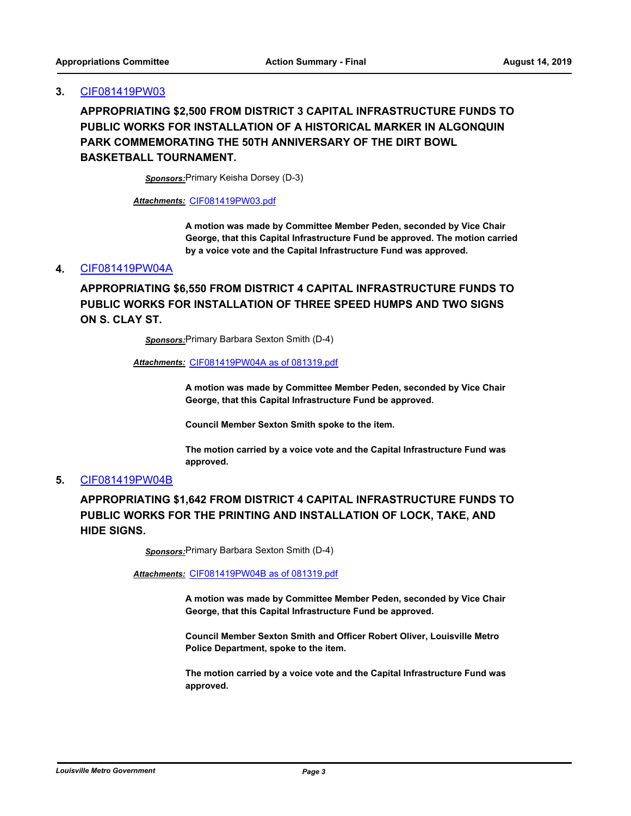**APPROPRIATING \$2,500 FROM DISTRICT 3 CAPITAL INFRASTRUCTURE FUNDS TO PUBLIC WORKS FOR INSTALLATION OF A HISTORICAL MARKER IN ALGONQUIN PARK COMMEMORATING THE 50TH ANNIVERSARY OF THE DIRT BOWL BASKETBALL TOURNAMENT.**

*Sponsors:*Primary Keisha Dorsey (D-3)

*Attachments:* [CIF081419PW03.pdf](http://louisville.legistar.com/gateway.aspx?M=F&ID=3a0c6277-fb97-42e0-99db-901721acfbb5.pdf)

**A motion was made by Committee Member Peden, seconded by Vice Chair George, that this Capital Infrastructure Fund be approved. The motion carried by a voice vote and the Capital Infrastructure Fund was approved.**

### **4.** [CIF081419PW04A](http://louisville.legistar.com/gateway.aspx?m=l&id=/matter.aspx?key=50905)

**APPROPRIATING \$6,550 FROM DISTRICT 4 CAPITAL INFRASTRUCTURE FUNDS TO PUBLIC WORKS FOR INSTALLATION OF THREE SPEED HUMPS AND TWO SIGNS ON S. CLAY ST.**

*Sponsors:*Primary Barbara Sexton Smith (D-4)

#### *Attachments:* [CIF081419PW04A as of 081319.pdf](http://louisville.legistar.com/gateway.aspx?M=F&ID=fc495aef-4a10-42cc-b1f9-f6a56d69a597.pdf)

**A motion was made by Committee Member Peden, seconded by Vice Chair George, that this Capital Infrastructure Fund be approved.**

**Council Member Sexton Smith spoke to the item.**

**The motion carried by a voice vote and the Capital Infrastructure Fund was approved.**

### **5.** [CIF081419PW04B](http://louisville.legistar.com/gateway.aspx?m=l&id=/matter.aspx?key=50901)

**APPROPRIATING \$1,642 FROM DISTRICT 4 CAPITAL INFRASTRUCTURE FUNDS TO PUBLIC WORKS FOR THE PRINTING AND INSTALLATION OF LOCK, TAKE, AND HIDE SIGNS.**

*Sponsors:*Primary Barbara Sexton Smith (D-4)

*Attachments:* [CIF081419PW04B as of 081319.pdf](http://louisville.legistar.com/gateway.aspx?M=F&ID=df142fcb-f7c3-4945-a894-a056c939e185.pdf)

**A motion was made by Committee Member Peden, seconded by Vice Chair George, that this Capital Infrastructure Fund be approved.**

**Council Member Sexton Smith and Officer Robert Oliver, Louisville Metro Police Department, spoke to the item.**

**The motion carried by a voice vote and the Capital Infrastructure Fund was approved.**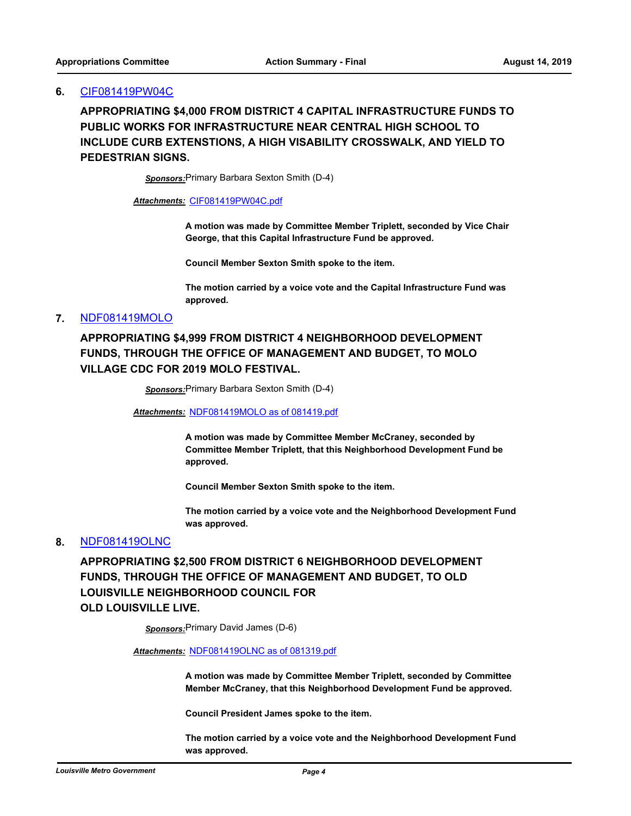### **6.** [CIF081419PW04C](http://louisville.legistar.com/gateway.aspx?m=l&id=/matter.aspx?key=50736)

**APPROPRIATING \$4,000 FROM DISTRICT 4 CAPITAL INFRASTRUCTURE FUNDS TO PUBLIC WORKS FOR INFRASTRUCTURE NEAR CENTRAL HIGH SCHOOL TO INCLUDE CURB EXTENSTIONS, A HIGH VISABILITY CROSSWALK, AND YIELD TO PEDESTRIAN SIGNS.**

*Sponsors:*Primary Barbara Sexton Smith (D-4)

#### *Attachments:* [CIF081419PW04C.pdf](http://louisville.legistar.com/gateway.aspx?M=F&ID=a39b33a7-43ae-4a53-a4b6-cf4ea000329c.pdf)

**A motion was made by Committee Member Triplett, seconded by Vice Chair George, that this Capital Infrastructure Fund be approved.**

**Council Member Sexton Smith spoke to the item.**

**The motion carried by a voice vote and the Capital Infrastructure Fund was approved.**

### **7.** [NDF081419MOLO](http://louisville.legistar.com/gateway.aspx?m=l&id=/matter.aspx?key=50737)

# **APPROPRIATING \$4,999 FROM DISTRICT 4 NEIGHBORHOOD DEVELOPMENT FUNDS, THROUGH THE OFFICE OF MANAGEMENT AND BUDGET, TO MOLO VILLAGE CDC FOR 2019 MOLO FESTIVAL.**

*Sponsors:*Primary Barbara Sexton Smith (D-4)

*Attachments:* [NDF081419MOLO as of 081419.pdf](http://louisville.legistar.com/gateway.aspx?M=F&ID=a28b93eb-4479-4cbd-8fe7-fe70e93502d0.pdf)

**A motion was made by Committee Member McCraney, seconded by Committee Member Triplett, that this Neighborhood Development Fund be approved.**

**Council Member Sexton Smith spoke to the item.**

**The motion carried by a voice vote and the Neighborhood Development Fund was approved.**

#### **8.** [NDF081419OLNC](http://louisville.legistar.com/gateway.aspx?m=l&id=/matter.aspx?key=50724)

**APPROPRIATING \$2,500 FROM DISTRICT 6 NEIGHBORHOOD DEVELOPMENT FUNDS, THROUGH THE OFFICE OF MANAGEMENT AND BUDGET, TO OLD LOUISVILLE NEIGHBORHOOD COUNCIL FOR OLD LOUISVILLE LIVE.**

*Sponsors:*Primary David James (D-6)

#### *Attachments:* [NDF081419OLNC as of 081319.pdf](http://louisville.legistar.com/gateway.aspx?M=F&ID=74706e2a-a89b-4649-a7ac-d388c86d994b.pdf)

**A motion was made by Committee Member Triplett, seconded by Committee Member McCraney, that this Neighborhood Development Fund be approved.**

**Council President James spoke to the item.**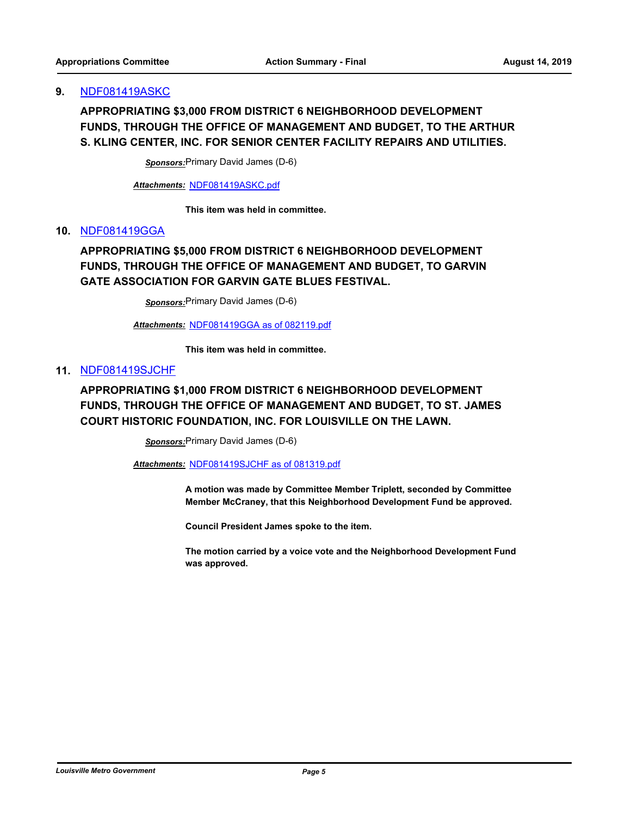### **9.** [NDF081419ASKC](http://louisville.legistar.com/gateway.aspx?m=l&id=/matter.aspx?key=50816)

# **APPROPRIATING \$3,000 FROM DISTRICT 6 NEIGHBORHOOD DEVELOPMENT FUNDS, THROUGH THE OFFICE OF MANAGEMENT AND BUDGET, TO THE ARTHUR S. KLING CENTER, INC. FOR SENIOR CENTER FACILITY REPAIRS AND UTILITIES.**

*Sponsors:*Primary David James (D-6)

*Attachments:* [NDF081419ASKC.pdf](http://louisville.legistar.com/gateway.aspx?M=F&ID=e1778906-2a15-44a2-89af-8d96fed3ca7c.pdf)

**This item was held in committee.**

### **10.** [NDF081419GGA](http://louisville.legistar.com/gateway.aspx?m=l&id=/matter.aspx?key=50818)

# **APPROPRIATING \$5,000 FROM DISTRICT 6 NEIGHBORHOOD DEVELOPMENT FUNDS, THROUGH THE OFFICE OF MANAGEMENT AND BUDGET, TO GARVIN GATE ASSOCIATION FOR GARVIN GATE BLUES FESTIVAL.**

*Sponsors:*Primary David James (D-6)

*Attachments:* [NDF081419GGA as of 082119.pdf](http://louisville.legistar.com/gateway.aspx?M=F&ID=9f98ea1a-b5db-47d4-8aea-25fb0fac5723.pdf)

**This item was held in committee.**

### **11.** [NDF081419SJCHF](http://louisville.legistar.com/gateway.aspx?m=l&id=/matter.aspx?key=50821)

# **APPROPRIATING \$1,000 FROM DISTRICT 6 NEIGHBORHOOD DEVELOPMENT FUNDS, THROUGH THE OFFICE OF MANAGEMENT AND BUDGET, TO ST. JAMES COURT HISTORIC FOUNDATION, INC. FOR LOUISVILLE ON THE LAWN.**

*Sponsors:*Primary David James (D-6)

*Attachments:* [NDF081419SJCHF as of 081319.pdf](http://louisville.legistar.com/gateway.aspx?M=F&ID=32951202-1285-4eb2-9834-ed12d85e84c7.pdf)

**A motion was made by Committee Member Triplett, seconded by Committee Member McCraney, that this Neighborhood Development Fund be approved.**

**Council President James spoke to the item.**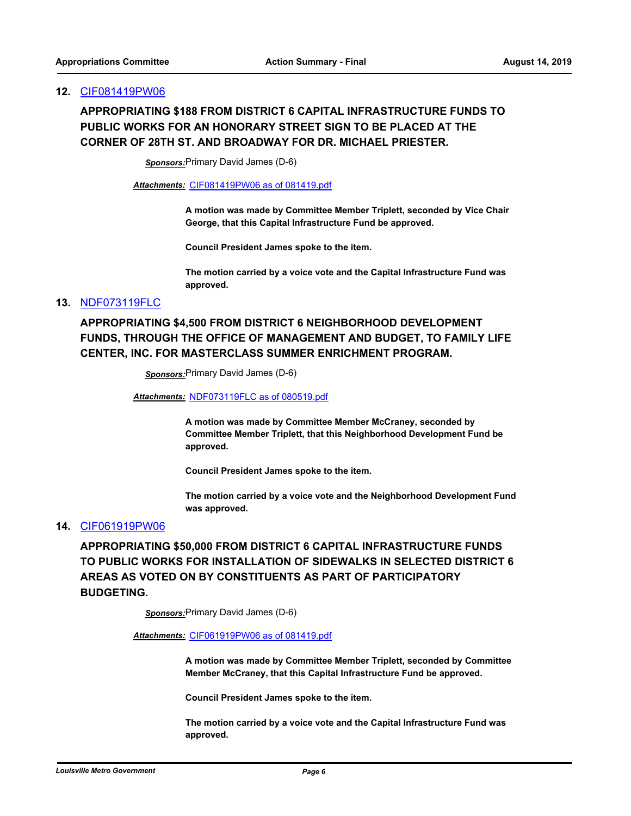# **APPROPRIATING \$188 FROM DISTRICT 6 CAPITAL INFRASTRUCTURE FUNDS TO PUBLIC WORKS FOR AN HONORARY STREET SIGN TO BE PLACED AT THE CORNER OF 28TH ST. AND BROADWAY FOR DR. MICHAEL PRIESTER.**

*Sponsors:*Primary David James (D-6)

*Attachments:* [CIF081419PW06 as of 081419.pdf](http://louisville.legistar.com/gateway.aspx?M=F&ID=ac0bbed2-c5d0-4a6c-af78-c7e64fe9bce3.pdf)

**A motion was made by Committee Member Triplett, seconded by Vice Chair George, that this Capital Infrastructure Fund be approved.**

**Council President James spoke to the item.**

**The motion carried by a voice vote and the Capital Infrastructure Fund was approved.**

### **13.** [NDF073119FLC](http://louisville.legistar.com/gateway.aspx?m=l&id=/matter.aspx?key=50727)

# **APPROPRIATING \$4,500 FROM DISTRICT 6 NEIGHBORHOOD DEVELOPMENT FUNDS, THROUGH THE OFFICE OF MANAGEMENT AND BUDGET, TO FAMILY LIFE CENTER, INC. FOR MASTERCLASS SUMMER ENRICHMENT PROGRAM.**

*Sponsors:*Primary David James (D-6)

*Attachments:* [NDF073119FLC as of 080519.pdf](http://louisville.legistar.com/gateway.aspx?M=F&ID=c0a05b36-8bed-471e-b97e-6cd6fb54a78b.pdf)

**A motion was made by Committee Member McCraney, seconded by Committee Member Triplett, that this Neighborhood Development Fund be approved.**

**Council President James spoke to the item.**

**The motion carried by a voice vote and the Neighborhood Development Fund was approved.**

### **14.** [CIF061919PW06](http://louisville.legistar.com/gateway.aspx?m=l&id=/matter.aspx?key=50350)

**APPROPRIATING \$50,000 FROM DISTRICT 6 CAPITAL INFRASTRUCTURE FUNDS TO PUBLIC WORKS FOR INSTALLATION OF SIDEWALKS IN SELECTED DISTRICT 6 AREAS AS VOTED ON BY CONSTITUENTS AS PART OF PARTICIPATORY BUDGETING.**

*Sponsors:*Primary David James (D-6)

#### *Attachments:* [CIF061919PW06 as of 081419.pdf](http://louisville.legistar.com/gateway.aspx?M=F&ID=ffaa4f26-8bc8-405d-bec6-0f9f90d1a59c.pdf)

**A motion was made by Committee Member Triplett, seconded by Committee Member McCraney, that this Capital Infrastructure Fund be approved.**

**Council President James spoke to the item.**

**The motion carried by a voice vote and the Capital Infrastructure Fund was approved.**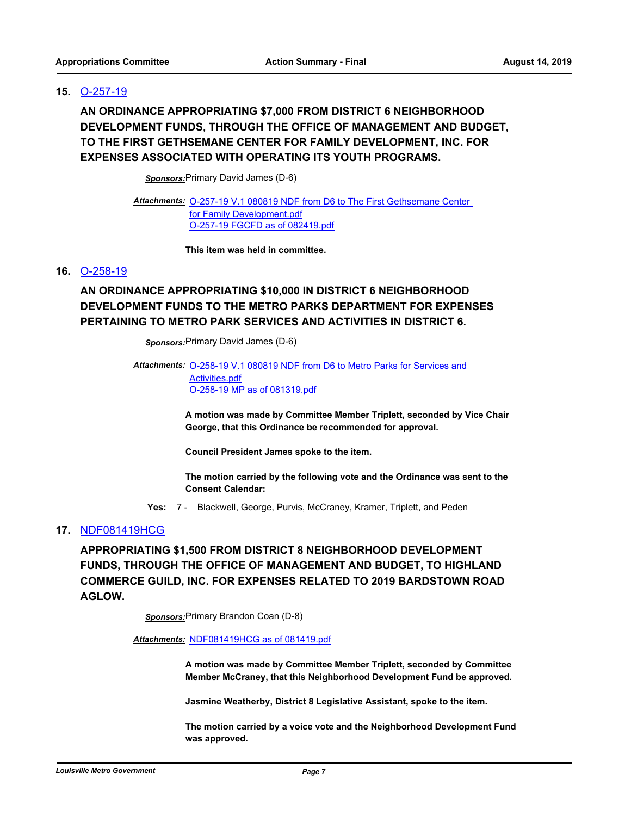### **15.** [O-257-19](http://louisville.legistar.com/gateway.aspx?m=l&id=/matter.aspx?key=50820)

**AN ORDINANCE APPROPRIATING \$7,000 FROM DISTRICT 6 NEIGHBORHOOD DEVELOPMENT FUNDS, THROUGH THE OFFICE OF MANAGEMENT AND BUDGET, TO THE FIRST GETHSEMANE CENTER FOR FAMILY DEVELOPMENT, INC. FOR EXPENSES ASSOCIATED WITH OPERATING ITS YOUTH PROGRAMS.**

*Sponsors:*Primary David James (D-6)

Attachments: O-257-19 V.1 080819 NDF from D6 to The First Gethsemane Center for Family Development.pdf [O-257-19 FGCFD as of 082419.pdf](http://louisville.legistar.com/gateway.aspx?M=F&ID=dc690e15-543d-4f99-9209-2c41b08618f3.pdf)

**This item was held in committee.**

### **16.** [O-258-19](http://louisville.legistar.com/gateway.aspx?m=l&id=/matter.aspx?key=50815)

# **AN ORDINANCE APPROPRIATING \$10,000 IN DISTRICT 6 NEIGHBORHOOD DEVELOPMENT FUNDS TO THE METRO PARKS DEPARTMENT FOR EXPENSES PERTAINING TO METRO PARK SERVICES AND ACTIVITIES IN DISTRICT 6.**

*Sponsors:*Primary David James (D-6)

Attachments: O-258-19 V.1 080819 NDF from D6 to Metro Parks for Services and Activities.pdf [O-258-19 MP as of 081319.pdf](http://louisville.legistar.com/gateway.aspx?M=F&ID=fb34b5cf-ab6a-4c14-aded-d32c607a4d6f.pdf)

> **A motion was made by Committee Member Triplett, seconded by Vice Chair George, that this Ordinance be recommended for approval.**

**Council President James spoke to the item.**

**The motion carried by the following vote and the Ordinance was sent to the Consent Calendar:**

**Yes:** 7 - Blackwell, George, Purvis, McCraney, Kramer, Triplett, and Peden

### **17.** [NDF081419HCG](http://louisville.legistar.com/gateway.aspx?m=l&id=/matter.aspx?key=50798)

**APPROPRIATING \$1,500 FROM DISTRICT 8 NEIGHBORHOOD DEVELOPMENT FUNDS, THROUGH THE OFFICE OF MANAGEMENT AND BUDGET, TO HIGHLAND COMMERCE GUILD, INC. FOR EXPENSES RELATED TO 2019 BARDSTOWN ROAD AGLOW.**

*Sponsors:*Primary Brandon Coan (D-8)

#### *Attachments:* [NDF081419HCG as of 081419.pdf](http://louisville.legistar.com/gateway.aspx?M=F&ID=d2cb348d-2cc5-471f-b046-51b7aa197951.pdf)

**A motion was made by Committee Member Triplett, seconded by Committee Member McCraney, that this Neighborhood Development Fund be approved.**

**Jasmine Weatherby, District 8 Legislative Assistant, spoke to the item.**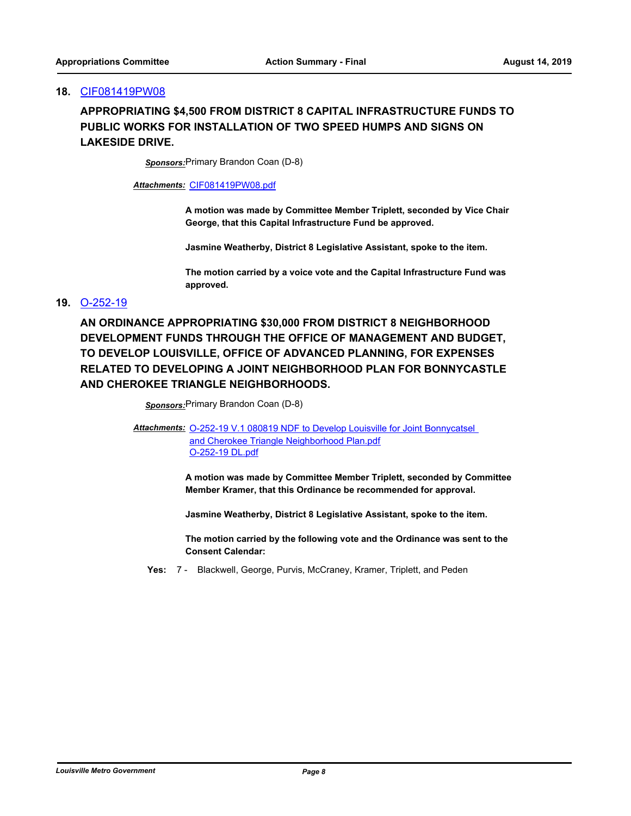## **APPROPRIATING \$4,500 FROM DISTRICT 8 CAPITAL INFRASTRUCTURE FUNDS TO PUBLIC WORKS FOR INSTALLATION OF TWO SPEED HUMPS AND SIGNS ON LAKESIDE DRIVE.**

*Sponsors:*Primary Brandon Coan (D-8)

*Attachments:* [CIF081419PW08.pdf](http://louisville.legistar.com/gateway.aspx?M=F&ID=089e9929-d523-47b3-a077-0ef876944fac.pdf)

**A motion was made by Committee Member Triplett, seconded by Vice Chair George, that this Capital Infrastructure Fund be approved.**

**Jasmine Weatherby, District 8 Legislative Assistant, spoke to the item.**

**The motion carried by a voice vote and the Capital Infrastructure Fund was approved.**

### **19.** [O-252-19](http://louisville.legistar.com/gateway.aspx?m=l&id=/matter.aspx?key=50797)

**AN ORDINANCE APPROPRIATING \$30,000 FROM DISTRICT 8 NEIGHBORHOOD DEVELOPMENT FUNDS THROUGH THE OFFICE OF MANAGEMENT AND BUDGET, TO DEVELOP LOUISVILLE, OFFICE OF ADVANCED PLANNING, FOR EXPENSES RELATED TO DEVELOPING A JOINT NEIGHBORHOOD PLAN FOR BONNYCASTLE AND CHEROKEE TRIANGLE NEIGHBORHOODS.**

*Sponsors:*Primary Brandon Coan (D-8)

Attachments: **O-252-19 V.1 080819 NDF** to Develop Louisville for Joint Bonnycatsel and Cherokee Triangle Neighborhood Plan.pdf [O-252-19 DL.pdf](http://louisville.legistar.com/gateway.aspx?M=F&ID=c000ae10-18ff-4824-ac00-fc0909ab0699.pdf)

> **A motion was made by Committee Member Triplett, seconded by Committee Member Kramer, that this Ordinance be recommended for approval.**

**Jasmine Weatherby, District 8 Legislative Assistant, spoke to the item.**

**The motion carried by the following vote and the Ordinance was sent to the Consent Calendar:**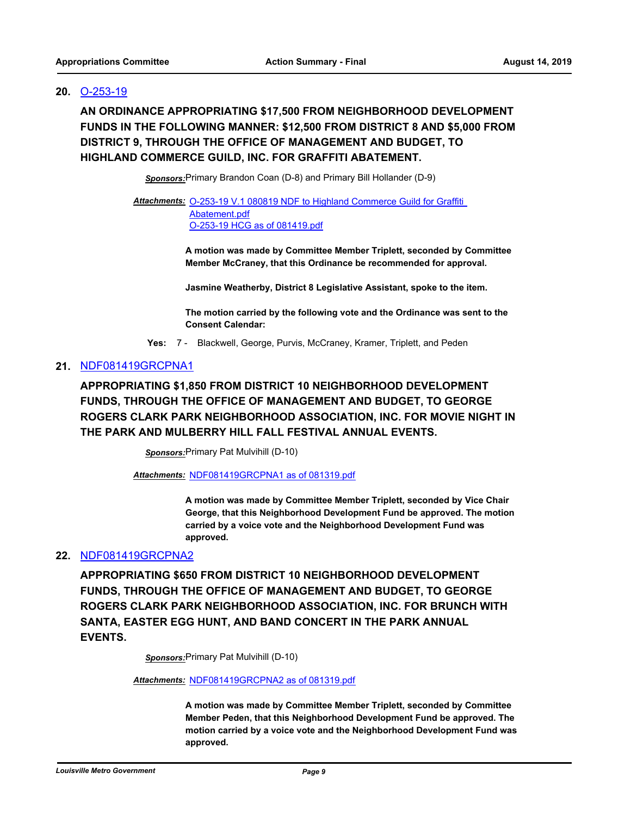### **20.** [O-253-19](http://louisville.legistar.com/gateway.aspx?m=l&id=/matter.aspx?key=50799)

**AN ORDINANCE APPROPRIATING \$17,500 FROM NEIGHBORHOOD DEVELOPMENT FUNDS IN THE FOLLOWING MANNER: \$12,500 FROM DISTRICT 8 AND \$5,000 FROM DISTRICT 9, THROUGH THE OFFICE OF MANAGEMENT AND BUDGET, TO HIGHLAND COMMERCE GUILD, INC. FOR GRAFFITI ABATEMENT.**

*Sponsors:*Primary Brandon Coan (D-8) and Primary Bill Hollander (D-9)

Attachments: O-253-19 V.1 080819 NDF to Highland Commerce Guild for Graffiti Abatement.pdf [O-253-19 HCG as of 081419.pdf](http://louisville.legistar.com/gateway.aspx?M=F&ID=c454ffa1-251b-417e-abc7-06ef893b9743.pdf)

> **A motion was made by Committee Member Triplett, seconded by Committee Member McCraney, that this Ordinance be recommended for approval.**

**Jasmine Weatherby, District 8 Legislative Assistant, spoke to the item.**

**The motion carried by the following vote and the Ordinance was sent to the Consent Calendar:**

**Yes:** 7 - Blackwell, George, Purvis, McCraney, Kramer, Triplett, and Peden

### **21.** [NDF081419GRCPNA1](http://louisville.legistar.com/gateway.aspx?m=l&id=/matter.aspx?key=50904)

**APPROPRIATING \$1,850 FROM DISTRICT 10 NEIGHBORHOOD DEVELOPMENT FUNDS, THROUGH THE OFFICE OF MANAGEMENT AND BUDGET, TO GEORGE ROGERS CLARK PARK NEIGHBORHOOD ASSOCIATION, INC. FOR MOVIE NIGHT IN THE PARK AND MULBERRY HILL FALL FESTIVAL ANNUAL EVENTS.**

*Sponsors:*Primary Pat Mulvihill (D-10)

*Attachments:* [NDF081419GRCPNA1 as of 081319.pdf](http://louisville.legistar.com/gateway.aspx?M=F&ID=b679f0c0-b694-4cb8-89d0-3a3b80bb2637.pdf)

**A motion was made by Committee Member Triplett, seconded by Vice Chair George, that this Neighborhood Development Fund be approved. The motion carried by a voice vote and the Neighborhood Development Fund was approved.**

### **22.** [NDF081419GRCPNA2](http://louisville.legistar.com/gateway.aspx?m=l&id=/matter.aspx?key=50907)

**APPROPRIATING \$650 FROM DISTRICT 10 NEIGHBORHOOD DEVELOPMENT FUNDS, THROUGH THE OFFICE OF MANAGEMENT AND BUDGET, TO GEORGE ROGERS CLARK PARK NEIGHBORHOOD ASSOCIATION, INC. FOR BRUNCH WITH SANTA, EASTER EGG HUNT, AND BAND CONCERT IN THE PARK ANNUAL EVENTS.**

*Sponsors:*Primary Pat Mulvihill (D-10)

*Attachments:* [NDF081419GRCPNA2 as of 081319.pdf](http://louisville.legistar.com/gateway.aspx?M=F&ID=669be034-eb44-4715-b8c8-e6c614d6670c.pdf)

**A motion was made by Committee Member Triplett, seconded by Committee Member Peden, that this Neighborhood Development Fund be approved. The motion carried by a voice vote and the Neighborhood Development Fund was approved.**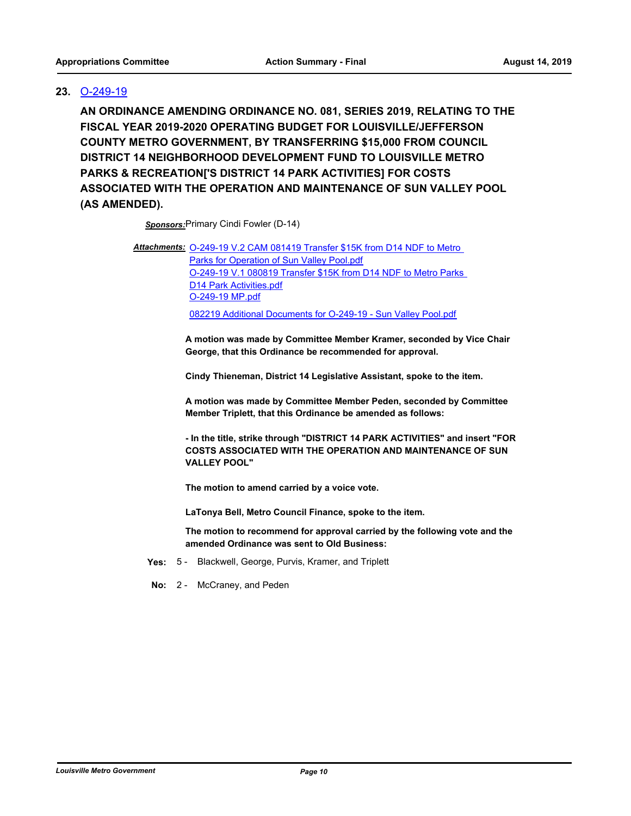# **23.** [O-249-19](http://louisville.legistar.com/gateway.aspx?m=l&id=/matter.aspx?key=50731)

**AN ORDINANCE AMENDING ORDINANCE NO. 081, SERIES 2019, RELATING TO THE FISCAL YEAR 2019-2020 OPERATING BUDGET FOR LOUISVILLE/JEFFERSON COUNTY METRO GOVERNMENT, BY TRANSFERRING \$15,000 FROM COUNCIL DISTRICT 14 NEIGHBORHOOD DEVELOPMENT FUND TO LOUISVILLE METRO PARKS & RECREATION['S DISTRICT 14 PARK ACTIVITIES] FOR COSTS ASSOCIATED WITH THE OPERATION AND MAINTENANCE OF SUN VALLEY POOL (AS AMENDED).**

*Sponsors:*Primary Cindi Fowler (D-14)

Attachments: O-249-19 V.2 CAM 081419 Transfer \$15K from D14 NDF to Metro Parks for Operation of Sun Valley Pool.pdf [O-249-19 V.1 080819 Transfer \\$15K from D14 NDF to Metro Parks](http://louisville.legistar.com/gateway.aspx?M=F&ID=0b6ef73d-f3c1-4137-a8f4-b15656e9dea9.pdf)  D14 Park Activities.pdf [O-249-19 MP.pdf](http://louisville.legistar.com/gateway.aspx?M=F&ID=26a89be2-75f9-444b-adb4-a075c14f3c9b.pdf)

[082219 Additional Documents for O-249-19 - Sun Valley Pool.pdf](http://louisville.legistar.com/gateway.aspx?M=F&ID=35b17941-0215-4c9c-bf53-c1ddb4727fe5.pdf)

**A motion was made by Committee Member Kramer, seconded by Vice Chair George, that this Ordinance be recommended for approval.** 

**Cindy Thieneman, District 14 Legislative Assistant, spoke to the item.**

**A motion was made by Committee Member Peden, seconded by Committee Member Triplett, that this Ordinance be amended as follows:**

**- In the title, strike through "DISTRICT 14 PARK ACTIVITIES" and insert "FOR COSTS ASSOCIATED WITH THE OPERATION AND MAINTENANCE OF SUN VALLEY POOL"**

**The motion to amend carried by a voice vote.**

**LaTonya Bell, Metro Council Finance, spoke to the item.**

**The motion to recommend for approval carried by the following vote and the amended Ordinance was sent to Old Business:**

- **Yes:** 5 Blackwell, George, Purvis, Kramer, and Triplett
- **No:** 2 McCraney, and Peden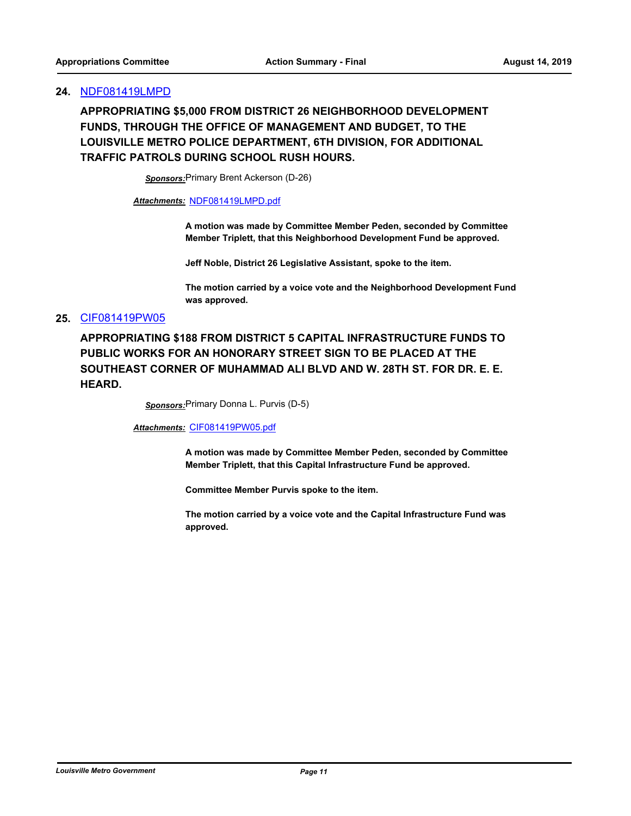### **24.** [NDF081419LMPD](http://louisville.legistar.com/gateway.aspx?m=l&id=/matter.aspx?key=50932)

**APPROPRIATING \$5,000 FROM DISTRICT 26 NEIGHBORHOOD DEVELOPMENT FUNDS, THROUGH THE OFFICE OF MANAGEMENT AND BUDGET, TO THE LOUISVILLE METRO POLICE DEPARTMENT, 6TH DIVISION, FOR ADDITIONAL TRAFFIC PATROLS DURING SCHOOL RUSH HOURS.**

*Sponsors:*Primary Brent Ackerson (D-26)

*Attachments:* [NDF081419LMPD.pdf](http://louisville.legistar.com/gateway.aspx?M=F&ID=eaa76d59-5e6a-4771-9e56-65812b47bded.pdf)

**A motion was made by Committee Member Peden, seconded by Committee Member Triplett, that this Neighborhood Development Fund be approved.**

**Jeff Noble, District 26 Legislative Assistant, spoke to the item.**

**The motion carried by a voice vote and the Neighborhood Development Fund was approved.**

### **25.** [CIF081419PW05](http://louisville.legistar.com/gateway.aspx?m=l&id=/matter.aspx?key=50856)

**APPROPRIATING \$188 FROM DISTRICT 5 CAPITAL INFRASTRUCTURE FUNDS TO PUBLIC WORKS FOR AN HONORARY STREET SIGN TO BE PLACED AT THE SOUTHEAST CORNER OF MUHAMMAD ALI BLVD AND W. 28TH ST. FOR DR. E. E. HEARD.**

*Sponsors:*Primary Donna L. Purvis (D-5)

*Attachments:* [CIF081419PW05.pdf](http://louisville.legistar.com/gateway.aspx?M=F&ID=7cf7bfe2-bfd5-48ad-b096-c64623811811.pdf)

**A motion was made by Committee Member Peden, seconded by Committee Member Triplett, that this Capital Infrastructure Fund be approved.**

**Committee Member Purvis spoke to the item.**

**The motion carried by a voice vote and the Capital Infrastructure Fund was approved.**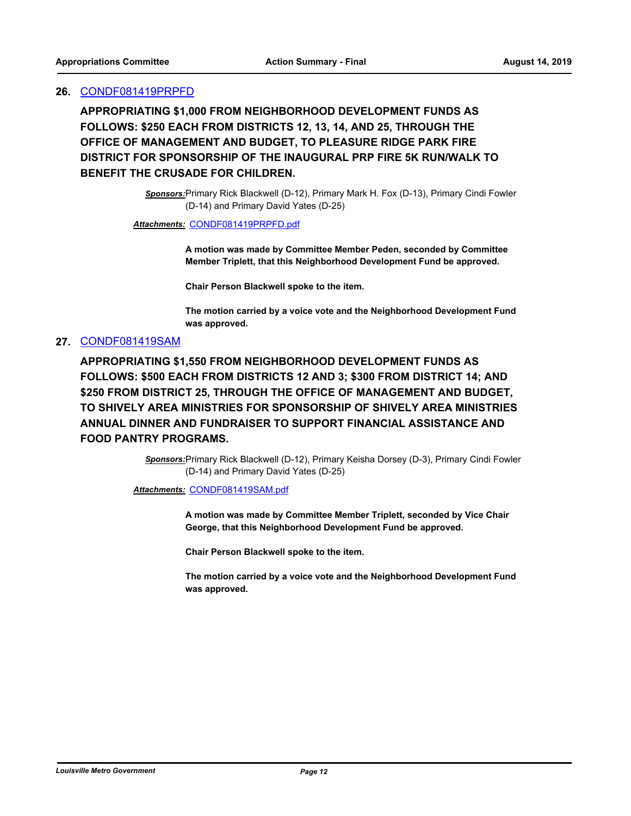### **26.** [CONDF081419PRPFD](http://louisville.legistar.com/gateway.aspx?m=l&id=/matter.aspx?key=50878)

**APPROPRIATING \$1,000 FROM NEIGHBORHOOD DEVELOPMENT FUNDS AS FOLLOWS: \$250 EACH FROM DISTRICTS 12, 13, 14, AND 25, THROUGH THE OFFICE OF MANAGEMENT AND BUDGET, TO PLEASURE RIDGE PARK FIRE DISTRICT FOR SPONSORSHIP OF THE INAUGURAL PRP FIRE 5K RUN/WALK TO BENEFIT THE CRUSADE FOR CHILDREN.**

> *Sponsors:*Primary Rick Blackwell (D-12), Primary Mark H. Fox (D-13), Primary Cindi Fowler (D-14) and Primary David Yates (D-25)

#### *Attachments:* [CONDF081419PRPFD.pdf](http://louisville.legistar.com/gateway.aspx?M=F&ID=c3828c97-585e-45b2-9071-f01135f28ec2.pdf)

**A motion was made by Committee Member Peden, seconded by Committee Member Triplett, that this Neighborhood Development Fund be approved.**

**Chair Person Blackwell spoke to the item.**

**The motion carried by a voice vote and the Neighborhood Development Fund was approved.**

### **27.** [CONDF081419SAM](http://louisville.legistar.com/gateway.aspx?m=l&id=/matter.aspx?key=50879)

**APPROPRIATING \$1,550 FROM NEIGHBORHOOD DEVELOPMENT FUNDS AS FOLLOWS: \$500 EACH FROM DISTRICTS 12 AND 3; \$300 FROM DISTRICT 14; AND \$250 FROM DISTRICT 25, THROUGH THE OFFICE OF MANAGEMENT AND BUDGET, TO SHIVELY AREA MINISTRIES FOR SPONSORSHIP OF SHIVELY AREA MINISTRIES ANNUAL DINNER AND FUNDRAISER TO SUPPORT FINANCIAL ASSISTANCE AND FOOD PANTRY PROGRAMS.**

> *Sponsors:*Primary Rick Blackwell (D-12), Primary Keisha Dorsey (D-3), Primary Cindi Fowler (D-14) and Primary David Yates (D-25)

*Attachments:* [CONDF081419SAM.pdf](http://louisville.legistar.com/gateway.aspx?M=F&ID=f6705afc-e34b-4ee8-978c-5d814e8ba8cd.pdf)

**A motion was made by Committee Member Triplett, seconded by Vice Chair George, that this Neighborhood Development Fund be approved.**

**Chair Person Blackwell spoke to the item.**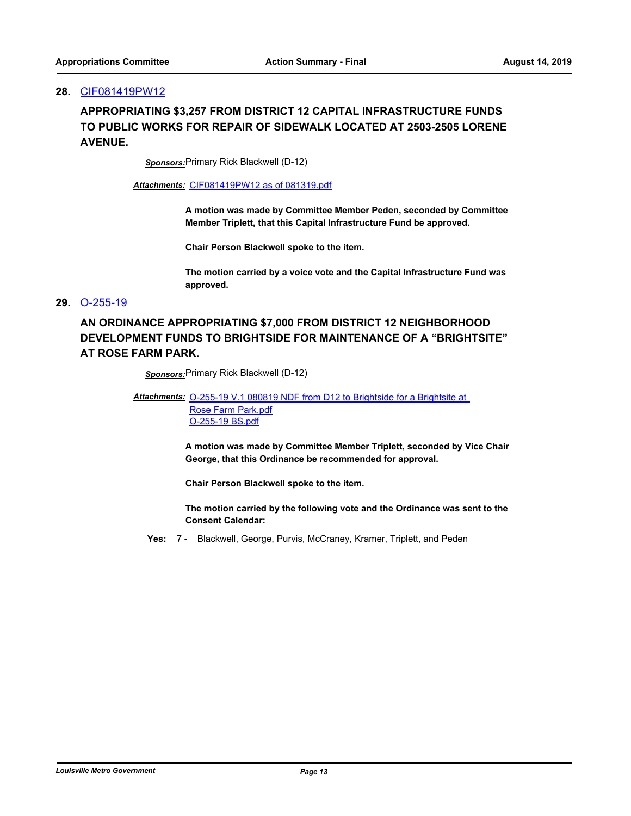# **APPROPRIATING \$3,257 FROM DISTRICT 12 CAPITAL INFRASTRUCTURE FUNDS TO PUBLIC WORKS FOR REPAIR OF SIDEWALK LOCATED AT 2503-2505 LORENE AVENUE.**

*Sponsors:*Primary Rick Blackwell (D-12)

*Attachments:* [CIF081419PW12 as of 081319.pdf](http://louisville.legistar.com/gateway.aspx?M=F&ID=f7c66fb7-1e46-4dc6-b5f3-6388e4f8d759.pdf)

**A motion was made by Committee Member Peden, seconded by Committee Member Triplett, that this Capital Infrastructure Fund be approved.**

**Chair Person Blackwell spoke to the item.**

**The motion carried by a voice vote and the Capital Infrastructure Fund was approved.**

### **29.** [O-255-19](http://louisville.legistar.com/gateway.aspx?m=l&id=/matter.aspx?key=50807)

# **AN ORDINANCE APPROPRIATING \$7,000 FROM DISTRICT 12 NEIGHBORHOOD DEVELOPMENT FUNDS TO BRIGHTSIDE FOR MAINTENANCE OF A "BRIGHTSITE" AT ROSE FARM PARK.**

*Sponsors:*Primary Rick Blackwell (D-12)

#### Attachments: O-255-19 V.1 080819 NDF from D12 to Brightside for a Brightsite at Rose Farm Park.pdf

[O-255-19 BS.pdf](http://louisville.legistar.com/gateway.aspx?M=F&ID=728569b9-00f3-4183-9052-0fb565854740.pdf)

**A motion was made by Committee Member Triplett, seconded by Vice Chair George, that this Ordinance be recommended for approval.**

**Chair Person Blackwell spoke to the item.**

**The motion carried by the following vote and the Ordinance was sent to the Consent Calendar:**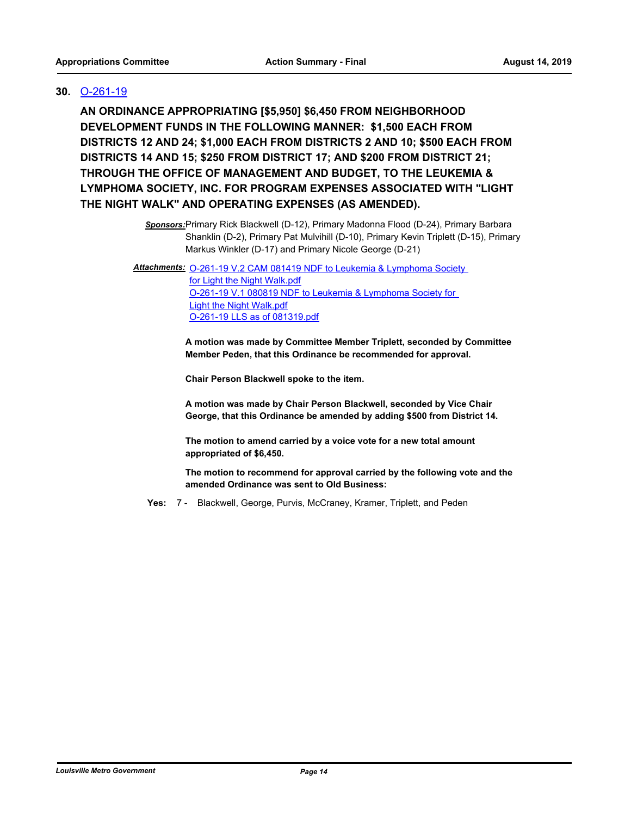### **30.** [O-261-19](http://louisville.legistar.com/gateway.aspx?m=l&id=/matter.aspx?key=50871)

**AN ORDINANCE APPROPRIATING [\$5,950] \$6,450 FROM NEIGHBORHOOD DEVELOPMENT FUNDS IN THE FOLLOWING MANNER: \$1,500 EACH FROM DISTRICTS 12 AND 24; \$1,000 EACH FROM DISTRICTS 2 AND 10; \$500 EACH FROM DISTRICTS 14 AND 15; \$250 FROM DISTRICT 17; AND \$200 FROM DISTRICT 21; THROUGH THE OFFICE OF MANAGEMENT AND BUDGET, TO THE LEUKEMIA & LYMPHOMA SOCIETY, INC. FOR PROGRAM EXPENSES ASSOCIATED WITH "LIGHT THE NIGHT WALK" AND OPERATING EXPENSES (AS AMENDED).**

> *Sponsors:*Primary Rick Blackwell (D-12), Primary Madonna Flood (D-24), Primary Barbara Shanklin (D-2), Primary Pat Mulvihill (D-10), Primary Kevin Triplett (D-15), Primary Markus Winkler (D-17) and Primary Nicole George (D-21)

Attachments: O-261-19 V.2 CAM 081419 NDF to Leukemia & Lymphoma Society

for Light the Night Walk.pdf [O-261-19 V.1 080819 NDF to Leukemia & Lymphoma Society for](http://louisville.legistar.com/gateway.aspx?M=F&ID=173c22c2-2787-47e2-8b02-5f10521fa4df.pdf)  Light the Night Walk.pdf [O-261-19 LLS as of 081319.pdf](http://louisville.legistar.com/gateway.aspx?M=F&ID=2370e3a3-2a23-4881-867f-9dab308696b5.pdf)

**A motion was made by Committee Member Triplett, seconded by Committee Member Peden, that this Ordinance be recommended for approval.**

**Chair Person Blackwell spoke to the item.**

**A motion was made by Chair Person Blackwell, seconded by Vice Chair George, that this Ordinance be amended by adding \$500 from District 14.**

**The motion to amend carried by a voice vote for a new total amount appropriated of \$6,450.**

**The motion to recommend for approval carried by the following vote and the amended Ordinance was sent to Old Business:**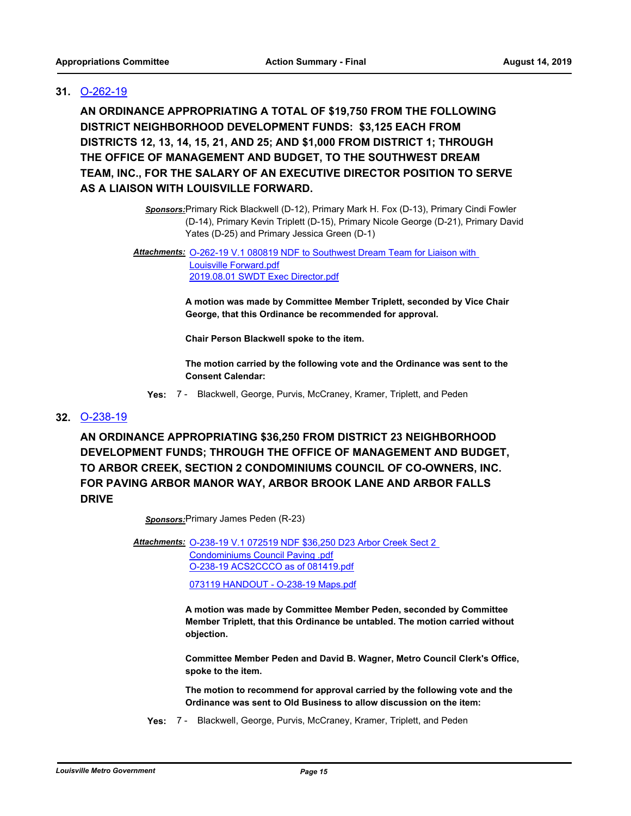### **31.** [O-262-19](http://louisville.legistar.com/gateway.aspx?m=l&id=/matter.aspx?key=50880)

**AN ORDINANCE APPROPRIATING A TOTAL OF \$19,750 FROM THE FOLLOWING DISTRICT NEIGHBORHOOD DEVELOPMENT FUNDS: \$3,125 EACH FROM DISTRICTS 12, 13, 14, 15, 21, AND 25; AND \$1,000 FROM DISTRICT 1; THROUGH THE OFFICE OF MANAGEMENT AND BUDGET, TO THE SOUTHWEST DREAM TEAM, INC., FOR THE SALARY OF AN EXECUTIVE DIRECTOR POSITION TO SERVE AS A LIAISON WITH LOUISVILLE FORWARD.**

> *Sponsors:*Primary Rick Blackwell (D-12), Primary Mark H. Fox (D-13), Primary Cindi Fowler (D-14), Primary Kevin Triplett (D-15), Primary Nicole George (D-21), Primary David Yates (D-25) and Primary Jessica Green (D-1)

#### Attachments: O-262-19 V.1 080819 NDF to Southwest Dream Team for Liaison with Louisville Forward.pdf [2019.08.01 SWDT Exec Director.pdf](http://louisville.legistar.com/gateway.aspx?M=F&ID=c9cc8f06-a8b1-4043-9fff-e4f24aa3bb8e.pdf)

**A motion was made by Committee Member Triplett, seconded by Vice Chair George, that this Ordinance be recommended for approval.**

**Chair Person Blackwell spoke to the item.**

**The motion carried by the following vote and the Ordinance was sent to the Consent Calendar:**

**Yes:** 7 - Blackwell, George, Purvis, McCraney, Kramer, Triplett, and Peden

### **32.** [O-238-19](http://louisville.legistar.com/gateway.aspx?m=l&id=/matter.aspx?key=50673)

**AN ORDINANCE APPROPRIATING \$36,250 FROM DISTRICT 23 NEIGHBORHOOD DEVELOPMENT FUNDS; THROUGH THE OFFICE OF MANAGEMENT AND BUDGET, TO ARBOR CREEK, SECTION 2 CONDOMINIUMS COUNCIL OF CO-OWNERS, INC. FOR PAVING ARBOR MANOR WAY, ARBOR BROOK LANE AND ARBOR FALLS DRIVE**

*Sponsors:*Primary James Peden (R-23)

Attachments: 0-238-19 V.1 072519 NDF \$36,250 D23 Arbor Creek Sect 2 Condominiums Council Paving .pdf [O-238-19 ACS2CCCO as of 081419.pdf](http://louisville.legistar.com/gateway.aspx?M=F&ID=6e233c86-6ec3-4213-b64e-8647777cedfd.pdf) [073119 HANDOUT - O-238-19 Maps.pdf](http://louisville.legistar.com/gateway.aspx?M=F&ID=388f884c-e929-4fef-b01d-407439703732.pdf)

> **A motion was made by Committee Member Peden, seconded by Committee Member Triplett, that this Ordinance be untabled. The motion carried without objection.**

**Committee Member Peden and David B. Wagner, Metro Council Clerk's Office, spoke to the item.**

**The motion to recommend for approval carried by the following vote and the Ordinance was sent to Old Business to allow discussion on the item:**